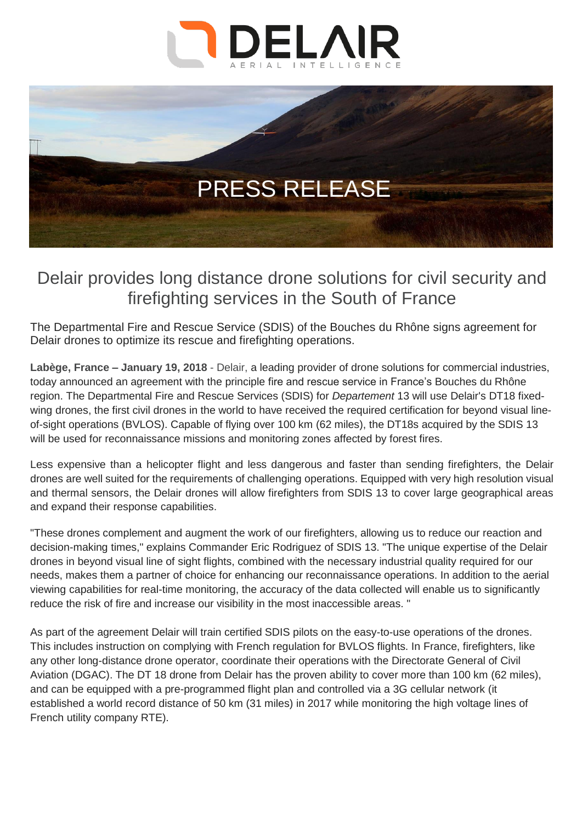



## Delair provides long distance drone solutions for civil security and firefighting services in the South of France

The Departmental Fire and Rescue Service (SDIS) of the Bouches du Rhône signs agreement for Delair drones to optimize its rescue and firefighting operations.

**Labège, France – January 19, 2018** - Delair, a leading provider of drone solutions for commercial industries, today announced an agreement with the principle fire and rescue service in France's Bouches du Rhône region. The Departmental Fire and Rescue Services (SDIS) for *Departement* 13 will use Delair's DT18 fixedwing drones, the first civil drones in the world to have received the required certification for beyond visual lineof-sight operations (BVLOS). Capable of flying over 100 km (62 miles), the DT18s acquired by the SDIS 13 will be used for reconnaissance missions and monitoring zones affected by forest fires.

Less expensive than a helicopter flight and less dangerous and faster than sending firefighters, the Delair drones are well suited for the requirements of challenging operations. Equipped with very high resolution visual and thermal sensors, the Delair drones will allow firefighters from SDIS 13 to cover large geographical areas and expand their response capabilities.

"These drones complement and augment the work of our firefighters, allowing us to reduce our reaction and decision-making times," explains Commander Eric Rodriguez of SDIS 13. "The unique expertise of the Delair drones in beyond visual line of sight flights, combined with the necessary industrial quality required for our needs, makes them a partner of choice for enhancing our reconnaissance operations. In addition to the aerial viewing capabilities for real-time monitoring, the accuracy of the data collected will enable us to significantly reduce the risk of fire and increase our visibility in the most inaccessible areas. "

As part of the agreement Delair will train certified SDIS pilots on the easy-to-use operations of the drones. This includes instruction on complying with French regulation for BVLOS flights. In France, firefighters, like any other long-distance drone operator, coordinate their operations with the Directorate General of Civil Aviation (DGAC). The DT 18 drone from Delair has the proven ability to cover more than 100 km (62 miles), and can be equipped with a pre-programmed flight plan and controlled via a 3G cellular network (it established a world record distance of 50 km (31 miles) in 2017 while monitoring the high voltage lines of French utility company RTE).